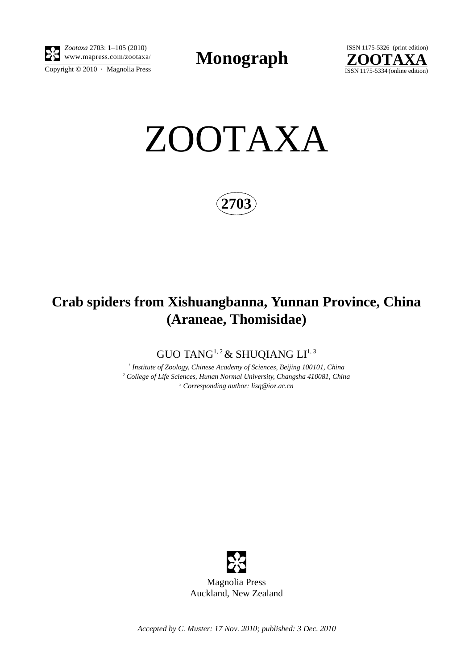

Copyright  $\odot$  2010 · Magnolia Press *Zootaxa* 2703: 1–105 (2010)

**Monograph** 



ZOOTAXA

**2703**

# **Crab spiders from Xishuangbanna, Yunnan Province, China (Araneae, Thomisidae)**

GUO TANG<sup>1, 2</sup> & SHUQIANG  $LI^{1,3}$ 

*1 Institute of Zoology, Chinese Academy of Sciences, Beijing 100101, China 2 College of Life Sciences, Hunan Normal University, Changsha 410081, China 3 Corresponding author: lisq@ioz.ac.cn*



Magnolia Press Auckland, New Zealand

*Accepted by C. Muster: 17 Nov. 2010; published: 3 Dec. 2010*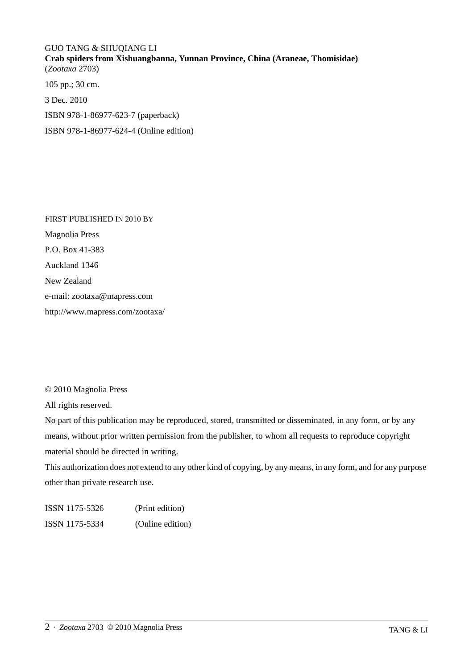## GUO TANG & SHUQIANG LI **Crab spiders from Xishuangbanna, Yunnan Province, China (Araneae, Thomisidae)** (*Zootaxa* 2703) 105 pp.; 30 cm.

3 Dec. 2010

ISBN 978-1-86977-623-7 (paperback)

ISBN 978-1-86977-624-4 (Online edition)

FIRST PUBLISHED IN 2010 BY Magnolia Press P.O. Box 41-383 Auckland 1346 New Zealand e-mail: zootaxa@mapress.com http://www.mapress.com/zootaxa/

### © 2010 Magnolia Press

All rights reserved.

No part of this publication may be reproduced, stored, transmitted or disseminated, in any form, or by any means, without prior written permission from the publisher, to whom all requests to reproduce copyright material should be directed in writing.

This authorization does not extend to any other kind of copying, by any means, in any form, and for any purpose other than private research use.

ISSN 1175-5326 (Print edition) ISSN 1175-5334 (Online edition)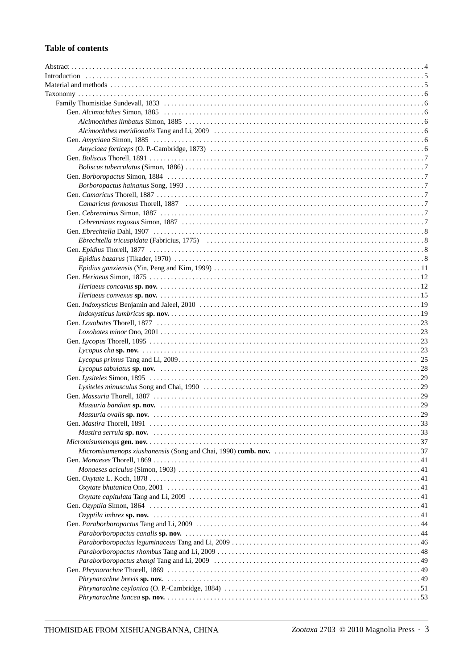## **Table of contents**

| Ebrechtella tricuspidata (Fabricius, 1775) (alternative and the control of the set of the set of the set of the set of the set of the set of the set of the set of the set of the set of the set of the set of the set of the |
|-------------------------------------------------------------------------------------------------------------------------------------------------------------------------------------------------------------------------------|
|                                                                                                                                                                                                                               |
|                                                                                                                                                                                                                               |
|                                                                                                                                                                                                                               |
|                                                                                                                                                                                                                               |
|                                                                                                                                                                                                                               |
|                                                                                                                                                                                                                               |
|                                                                                                                                                                                                                               |
|                                                                                                                                                                                                                               |
|                                                                                                                                                                                                                               |
|                                                                                                                                                                                                                               |
| Loxobates minor Ono, 2001                                                                                                                                                                                                     |
|                                                                                                                                                                                                                               |
|                                                                                                                                                                                                                               |
|                                                                                                                                                                                                                               |
|                                                                                                                                                                                                                               |
|                                                                                                                                                                                                                               |
|                                                                                                                                                                                                                               |
|                                                                                                                                                                                                                               |
|                                                                                                                                                                                                                               |
|                                                                                                                                                                                                                               |
|                                                                                                                                                                                                                               |
|                                                                                                                                                                                                                               |
|                                                                                                                                                                                                                               |
|                                                                                                                                                                                                                               |
|                                                                                                                                                                                                                               |
|                                                                                                                                                                                                                               |
|                                                                                                                                                                                                                               |
|                                                                                                                                                                                                                               |
|                                                                                                                                                                                                                               |
|                                                                                                                                                                                                                               |
|                                                                                                                                                                                                                               |
|                                                                                                                                                                                                                               |
|                                                                                                                                                                                                                               |
|                                                                                                                                                                                                                               |
|                                                                                                                                                                                                                               |
|                                                                                                                                                                                                                               |
|                                                                                                                                                                                                                               |
|                                                                                                                                                                                                                               |
|                                                                                                                                                                                                                               |
|                                                                                                                                                                                                                               |
|                                                                                                                                                                                                                               |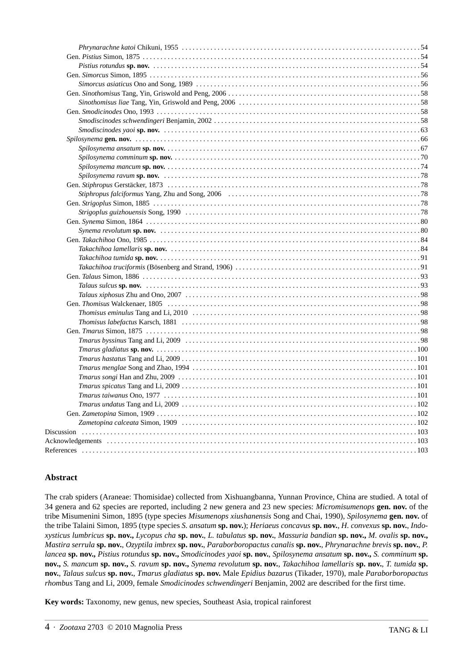## **Abstract**

The crab spiders (Araneae: Thomisidae) collected from Xishuangbanna, Yunnan Province, China are studied. A total of 34 genera and 62 species are reported, including 2 new genera and 23 new species: *Micromisumenops* **gen. nov.** of the tribe Misumenini Simon, 1895 (type species *Misumenops xiushanensis* Song and Chai, 1990), *Spilosynema* **gen. nov.** of the tribe Talaini Simon, 1895 (type species *S. ansatum* **sp. nov.**); *Heriaeus concavus* **sp. nov.**, *H. convexus* **sp. nov.**, *Indoxysticus lumbricus* **sp. nov.,** *Lycopus cha* **sp. nov.**, *L. tabulatus* **sp. nov.**, *Massuria bandian* **sp. nov.,** *M. ovalis* **sp. nov.,** *Mastira serrula* **sp. nov.**, *Ozyptila imbrex* **sp. nov.**, *Paraborboropactus canalis* **sp. nov.**, *Phrynarachne brevis* **sp. nov.**, *P. lancea* **sp. nov.,** *Pistius rotundus* **sp. nov.,** *Smodicinodes yaoi* **sp. nov.**, *Spilosynema ansatum* **sp. nov.,** *S. comminum* **sp. nov.,** *S. mancum* **sp. nov.,** *S. ravum* **sp. nov.,** *Synema revolutum* **sp. nov.**, *Takachihoa lamellaris* **sp. nov.**, *T. tumida* **sp. nov.**, *Talaus sulcus* **sp. nov.**, *Tmarus gladiatus* **sp. nov.** Male *Epidius bazarus* (Tikader, 1970), male *Paraborboropactus rhombus* Tang and Li, 2009, female *Smodicinodes schwendingeri* Benjamin, 2002 are described for the first time.

**Key words:** Taxonomy, new genus, new species, Southeast Asia, tropical rainforest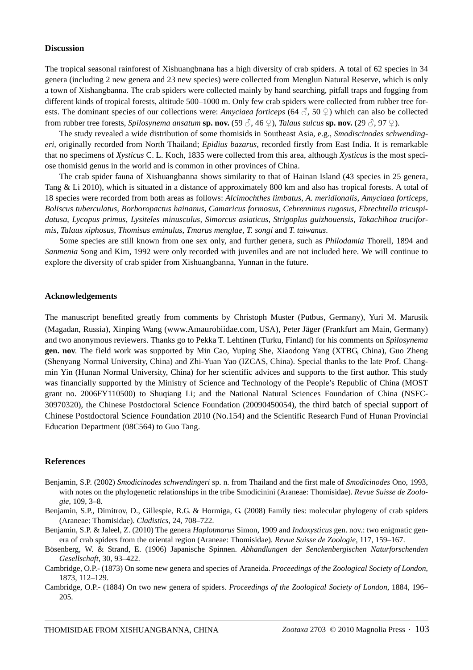#### **Discussion**

The tropical seasonal rainforest of Xishuangbnana has a high diversity of crab spiders. A total of 62 species in 34 genera (including 2 new genera and 23 new species) were collected from Menglun Natural Reserve, which is only a town of Xishangbanna. The crab spiders were collected mainly by hand searching, pitfall traps and fogging from different kinds of tropical forests, altitude 500–1000 m. Only few crab spiders were collected from rubber tree forests. The dominant species of our collections were: *Amyciaea forticeps* (64 ♂, 50 ♀) which can also be collected from rubber tree forests, *Spilosynema ansatum* **sp. nov.**  $(59 \text{ Å}, 46 \text{ }\text{°})$ , *Talaus sulcus* **sp. nov.**  $(29 \text{ Å}, 97 \text{ }\text{°})$ .

The study revealed a wide distribution of some thomisids in Southeast Asia, e.g., *Smodiscinodes schwendingeri,* originally recorded from North Thailand; *Epidius bazarus,* recorded firstly from East India. It is remarkable that no specimens of *Xysticus* C. L. Koch, 1835 were collected from this area, although *Xysticus* is the most speciose thomisid genus in the world and is common in other provinces of China.

The crab spider fauna of Xishuangbanna shows similarity to that of Hainan Island (43 species in 25 genera, Tang & Li 2010), which is situated in a distance of approximately 800 km and also has tropical forests. A total of 18 species were recorded from both areas as follows: *Alcimochthes limbatus*, *A. meridionalis*, *Amyciaea forticeps*, *Boliscus tuberculatus*, *Borboropactus hainanus*, *Camaricus formosus*, *Cebrenninus rugosus*, *Ebrechtella tricuspidatusa*, *Lycopus primus*, *Lysiteles minusculus, Simorcus asiaticus*, *Strigoplus guizhouensis*, *Takachihoa truciformis*, *Talaus xiphosus*, *Thomisus eminulus*, *Tmarus menglae*, *T. songi* and *T. taiwanus*.

Some species are still known from one sex only, and further genera, such as *Philodamia* Thorell, 1894 and *Sanmenia* Song and Kim, 1992 were only recorded with juveniles and are not included here. We will continue to explore the diversity of crab spider from Xishuangbanna, Yunnan in the future.

#### **Acknowledgements**

The manuscript benefited greatly from comments by Christoph Muster (Putbus, Germany), Yuri M. Marusik (Magadan, Russia), Xinping Wang (www.Amaurobiidae.com, USA), Peter Jäger (Frankfurt am Main, Germany) and two anonymous reviewers. Thanks go to Pekka T. Lehtinen (Turku, Finland) for his comments on *Spilosynema* **gen. nov**. The field work was supported by Min Cao, Yuping She, Xiaodong Yang (XTBG, China), Guo Zheng (Shenyang Normal University, China) and Zhi-Yuan Yao (IZCAS, China). Special thanks to the late Prof. Changmin Yin (Hunan Normal University, China) for her scientific advices and supports to the first author. This study was financially supported by the Ministry of Science and Technology of the People's Republic of China (MOST grant no. 2006FY110500) to Shuqiang Li; and the National Natural Sciences Foundation of China (NSFC-30970320), the Chinese Postdoctoral Science Foundation (20090450054), the third batch of special support of Chinese Postdoctoral Science Foundation 2010 (No.154) and the Scientific Research Fund of Hunan Provincial Education Department (08C564) to Guo Tang.

#### **References**

- Benjamin, S.P. (2002) *Smodicinodes schwendingeri* sp. n. from Thailand and the first male of *Smodicinodes* Ono, 1993, with notes on the phylogenetic relationships in the tribe Smodicinini (Araneae: Thomisidae). *Revue Suisse de Zoologie*, 109, 3–8.
- Benjamin, S.P., Dimitrov, D., Gillespie, R.G. & Hormiga, G. (2008) Family ties: molecular phylogeny of crab spiders (Araneae: Thomisidae). *Cladistics*, 24, 708–722.
- Benjamin, S.P. & Jaleel, Z. (2010) The genera *Haplotmarus* Simon, 1909 and *Indoxysticus* gen. nov.: two enigmatic genera of crab spiders from the oriental region (Araneae: Thomisidae). *Revue Suisse de Zoologie*, 117, 159–167.
- Bösenberg, W. & Strand, E. (1906) Japanische Spinnen. *Abhandlungen der Senckenbergischen Naturforschenden Gesellschaft*, 30, 93–422.
- Cambridge, O.P.- (1873) On some new genera and species of Araneida. *Proceedings of the Zoological Society of London*, 1873, 112–129.
- Cambridge, O.P.- (1884) On two new genera of spiders. *Proceedings of the Zoological Society of London*, 1884, 196– 205.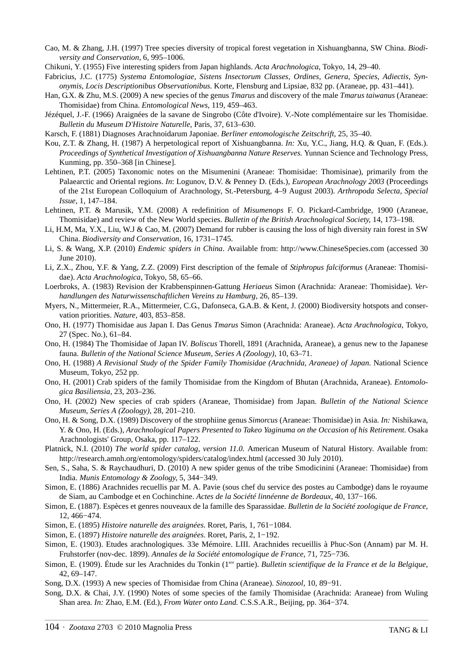- Cao, M. & Zhang, J.H. (1997) Tree species diversity of tropical forest vegetation in Xishuangbanna, SW China. *Biodiversity and Conservation*, 6, 995–1006.
- Chikuni, Y. (1955) Five interesting spiders from Japan highlands. *Acta Arachnologica*, Tokyo, 14, 29–40.
- Fabricius, J.C. (1775) *Systema Entomologiae, Sistens Insectorum Classes, Ordines, Genera, Species, Adiectis, Synonymis, Locis Descriptionibus Observationibus.* Korte, Flensburg and Lipsiae, 832 pp. (Araneae, pp. 431–441).
- Han, G.X. & Zhu, M.S. (2009) A new species of the genus *Tmarus* and discovery of the male *Tmarus taiwanus* (Araneae: Thomisidae) from China. *Entomological News*, 119, 459–463.
- Jézéquel, J.-F. (1966) Araignées de la savane de Singrobo (Côte d'Ivoire). V.-Note complémentaire sur les Thomisidae. *Bulletin du Museum D'Histoire Naturelle*, Paris, 37, 613–630.
- Karsch, F. (1881) Diagnoses Arachnoidarum Japoniae. *Berliner entomologische Zeitschrift*, 25, 35–40.
- Kou, Z.T. & Zhang, H. (1987) A herpetological report of Xishuangbanna. *In:* Xu, Y.C., Jiang, H.Q. & Quan, F. (Eds.). *Proceedings of Synthetical Investigation of Xishuangbanna Nature Reserves.* Yunnan Science and Technology Press, Kunming, pp. 350–368 [in Chinese].
- Lehtinen, P.T. (2005) Taxonomic notes on the Misumenini (Araneae: Thomisidae: Thomisinae), primarily from the Palaearctic and Oriental regions. *In*: Logunov, D.V. & Penney D. (Eds.), *European Arachnology 2003* (Proceedings of the 21st European Colloquium of Arachnology, St.-Petersburg, 4–9 August 2003). *Arthropoda Selecta, Special Issue*, 1, 147–184.
- Lehtinen, P.T. & Marusik, Y.M. (2008) A redefinition of *Misumenops* F. O. Pickard-Cambridge, 1900 (Araneae, Thomisidae) and review of the New World species. *Bulletin of the British Arachnological Society*, 14, 173–198.
- Li, H.M, Ma, Y.X., Liu, W.J & Cao, M. (2007) Demand for rubber is causing the loss of high diversity rain forest in SW China. *Biodiversity and Conservation*, 16, 1731–1745.
- Li, S. & Wang, X.P. (2010) *Endemic spiders in China*. Available from: http://www.ChineseSpecies.com (accessed 30 June 2010).
- Li, Z.X., Zhou, Y.F. & Yang, Z.Z. (2009) First description of the female of *Stiphropus falciformus* (Araneae: Thomisidae). *Acta Arachnologica*, Tokyo, 58, 65–66.
- Loerbroks, A. (1983) Revision der Krabbenspinnen-Gattung *Heriaeus* Simon (Arachnida: Araneae: Thomisidae). *Verhandlungen des Naturwissenschaftlichen Vereins zu Hamburg*, 26, 85–139.
- Myers, N., Mittermeier, R.A., Mittermeier, C.G., Dafonseca, G.A.B. & Kent, J. (2000) Biodiversity hotspots and conservation priorities. *Nature*, 403, 853–858.
- Ono, H. (1977) Thomisidae aus Japan I. Das Genus *Tmarus* Simon (Arachnida: Araneae). *Acta Arachnologica*, Tokyo, 27 (Spec. No.), 61–84.
- Ono, H. (1984) The Thomisidae of Japan IV. *Boliscus* Thorell, 1891 (Arachnida, Araneae), a genus new to the Japanese fauna. *Bulletin of the National Science Museum, Series A (Zoology)*, 10, 63–71.
- Ono, H. (1988) *A Revisional Study of the Spider Family Thomisidae (Arachnida, Araneae) of Japan*. National Science Museum, Tokyo, 252 pp.
- Ono, H. (2001) Crab spiders of the family Thomisidae from the Kingdom of Bhutan (Arachnida, Araneae). *Entomologica Basiliensia*, 23, 203–236.
- Ono, H. (2002) New species of crab spiders (Araneae, Thomisidae) from Japan. *Bulletin of the National Science Museum, Series A (Zoology)*, 28, 201–210.
- Ono, H. & Song, D.X. (1989) Discovery of the strophiine genus *Simorcus* (Araneae: Thomisidae) in Asia. *In:* Nishikawa, Y. & Ono, H. (Eds.), *Arachnological Papers Presented to Takeo Yaginuma on the Occasion of his Retirement*. Osaka Arachnologists' Group, Osaka, pp. 117–122.
- Platnick, N.I. (2010) *The world spider catalog, version 11.0.* American Museum of Natural History. Available from: http://research.amnh.org/entomology/spiders/catalog/index.html (accessed 30 July 2010).
- Sen, S., Saha, S. & Raychaudhuri, D. (2010) A new spider genus of the tribe Smodicinini (Araneae: Thomisidae) from India. *Munis Entomology & Zoology*, 5, 344−349.
- Simon, E. (1886) Arachnides recuellis par M. A. Pavie (sous chef du service des postes au Cambodge) dans le royaume de Siam, au Cambodge et en Cochinchine. *Actes de la Société linnéenne de Bordeaux*, 40, 137−166.
- Simon, E. (1887). Espèces et genres nouveaux de la famille des Sparassidae. *Bulletin de la Société zoologique de France*, 12, 466−474.
- Simon, E. (1895) *Histoire naturelle des araignées*. Roret, Paris, 1, 761−1084.
- Simon, E. (1897) *Histoire naturelle des araignées*. Roret, Paris, 2, 1−192.
- Simon, E. (1903). Etudes arachnologiques. 33e Mémoire. LIII. Arachnides recueillis à Phuc-Son (Annam) par M. H. Fruhstorfer (nov-dec. 1899). *Annales de la Société entomologique de France*, 71, 725−736.
- Simon, E. (1909). Étude sur les Arachnides du Tonkin (1ere partie). *Bulletin scientifique de la France et de la Belgique*, 42, 69–147.
- Song, D.X. (1993) A new species of Thomisidae from China (Araneae). *Sinozool,* 10, 89−91.
- Song, D.X. & Chai, J.Y. (1990) Notes of some species of the family Thomisidae (Arachnida: Araneae) from Wuling Shan area. *In:* Zhao, E.M. (Ed.), *From Water onto Land.* C.S.S.A.R., Beijing, pp. 364−374.